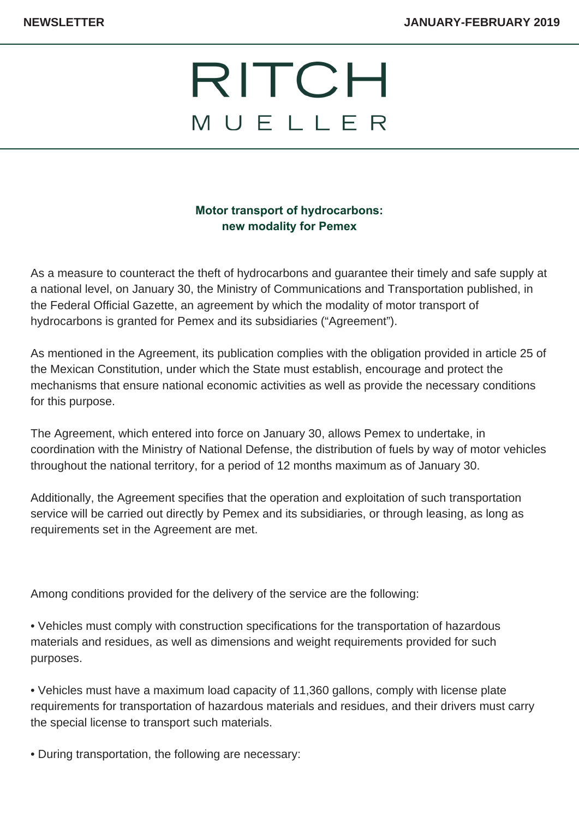## RITCH MUELLER

## **Motor transport of hydrocarbons: new modality for Pemex**

As a measure to counteract the theft of hydrocarbons and guarantee their timely and safe supply at a national level, on January 30, the Ministry of Communications and Transportation published, in the Federal Official Gazette, an agreement by which the modality of motor transport of hydrocarbons is granted for Pemex and its subsidiaries ("Agreement").

As mentioned in the Agreement, its publication complies with the obligation provided in article 25 of the Mexican Constitution, under which the State must establish, encourage and protect the mechanisms that ensure national economic activities as well as provide the necessary conditions for this purpose.

The Agreement, which entered into force on January 30, allows Pemex to undertake, in coordination with the Ministry of National Defense, the distribution of fuels by way of motor vehicles throughout the national territory, for a period of 12 months maximum as of January 30.

Additionally, the Agreement specifies that the operation and exploitation of such transportation service will be carried out directly by Pemex and its subsidiaries, or through leasing, as long as requirements set in the Agreement are met.

Among conditions provided for the delivery of the service are the following:

• Vehicles must comply with construction specifications for the transportation of hazardous materials and residues, as well as dimensions and weight requirements provided for such purposes.

• Vehicles must have a maximum load capacity of 11,360 gallons, comply with license plate requirements for transportation of hazardous materials and residues, and their drivers must carry the special license to transport such materials.

• During transportation, the following are necessary: